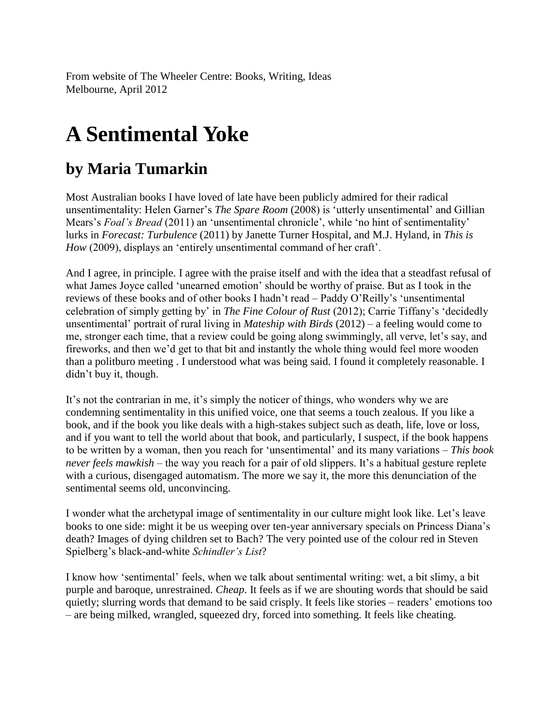From website of The Wheeler Centre: Books, Writing, Ideas Melbourne, April 2012

## **A Sentimental Yoke**

## **by Maria Tumarkin**

Most Australian books I have loved of late have been publicly admired for their radical unsentimentality: Helen Garner's *The Spare Room* (2008) is 'utterly unsentimental' and Gillian Mears's *Foal's Bread* (2011) an 'unsentimental chronicle', while 'no hint of sentimentality' lurks in *Forecast: Turbulence* (2011) by Janette Turner Hospital, and M.J. Hyland, in *This is How* (2009), displays an 'entirely unsentimental command of her craft'.

And I agree, in principle. I agree with the praise itself and with the idea that a steadfast refusal of what James Joyce called 'unearned emotion' should be worthy of praise. But as I took in the reviews of these books and of other books I hadn't read – Paddy O'Reilly's 'unsentimental celebration of simply getting by' in *The Fine Colour of Rust* (2012); Carrie Tiffany's 'decidedly unsentimental' portrait of rural living in *Mateship with Birds* (2012) – a feeling would come to me, stronger each time, that a review could be going along swimmingly, all verve, let's say, and fireworks, and then we'd get to that bit and instantly the whole thing would feel more wooden than a politburo meeting . I understood what was being said. I found it completely reasonable. I didn't buy it, though.

It's not the contrarian in me, it's simply the noticer of things, who wonders why we are condemning sentimentality in this unified voice, one that seems a touch zealous. If you like a book, and if the book you like deals with a high-stakes subject such as death, life, love or loss, and if you want to tell the world about that book, and particularly, I suspect, if the book happens to be written by a woman, then you reach for 'unsentimental' and its many variations – *This book never feels mawkish* – the way you reach for a pair of old slippers. It's a habitual gesture replete with a curious, disengaged automatism. The more we say it, the more this denunciation of the sentimental seems old, unconvincing.

I wonder what the archetypal image of sentimentality in our culture might look like. Let's leave books to one side: might it be us weeping over ten-year anniversary specials on Princess Diana's death? Images of dying children set to Bach? The very pointed use of the colour red in Steven Spielberg's black-and-white *Schindler's List*?

I know how 'sentimental' feels, when we talk about sentimental writing: wet, a bit slimy, a bit purple and baroque, unrestrained. *Cheap*. It feels as if we are shouting words that should be said quietly; slurring words that demand to be said crisply. It feels like stories – readers' emotions too – are being milked, wrangled, squeezed dry, forced into something. It feels like cheating.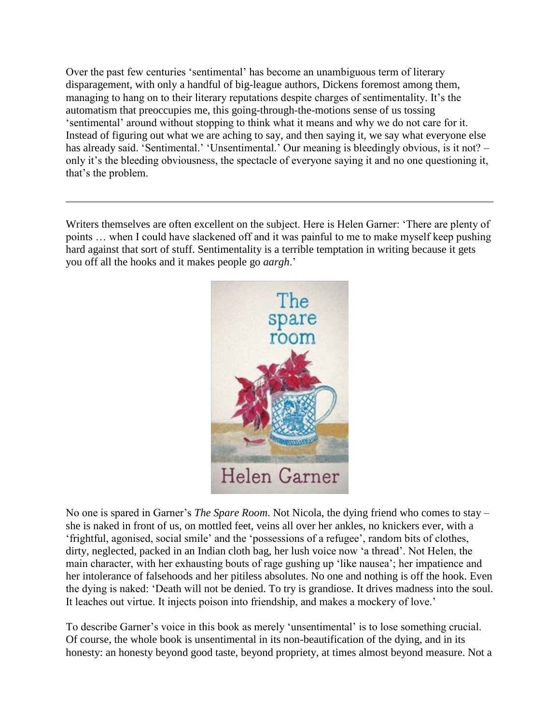Over the past few centuries 'sentimental' has become an unambiguous term of literary disparagement, with only a handful of big-league authors, Dickens foremost among them, managing to hang on to their literary reputations despite charges of sentimentality. It's the automatism that preoccupies me, this going-through-the-motions sense of us tossing 'sentimental' around without stopping to think what it means and why we do not care for it. Instead of figuring out what we are aching to say, and then saying it, we say what everyone else has already said. 'Sentimental.' 'Unsentimental.' Our meaning is bleedingly obvious, is it not? – only it's the bleeding obviousness, the spectacle of everyone saying it and no one questioning it, that's the problem.

Writers themselves are often excellent on the subject. Here is Helen Garner: 'There are plenty of points … when I could have slackened off and it was painful to me to make myself keep pushing hard against that sort of stuff. Sentimentality is a terrible temptation in writing because it gets you off all the hooks and it makes people go *aargh*.'



No one is spared in Garner's *The Spare Room*. Not Nicola, the dying friend who comes to stay – she is naked in front of us, on mottled feet, veins all over her ankles, no knickers ever, with a 'frightful, agonised, social smile' and the 'possessions of a refugee', random bits of clothes, dirty, neglected, packed in an Indian cloth bag, her lush voice now 'a thread'. Not Helen, the main character, with her exhausting bouts of rage gushing up 'like nausea'; her impatience and her intolerance of falsehoods and her pitiless absolutes. No one and nothing is off the hook. Even the dying is naked: 'Death will not be denied. To try is grandiose. It drives madness into the soul. It leaches out virtue. It injects poison into friendship, and makes a mockery of love.'

To describe Garner's voice in this book as merely 'unsentimental' is to lose something crucial. Of course, the whole book is unsentimental in its non-beautification of the dying, and in its honesty: an honesty beyond good taste, beyond propriety, at times almost beyond measure. Not a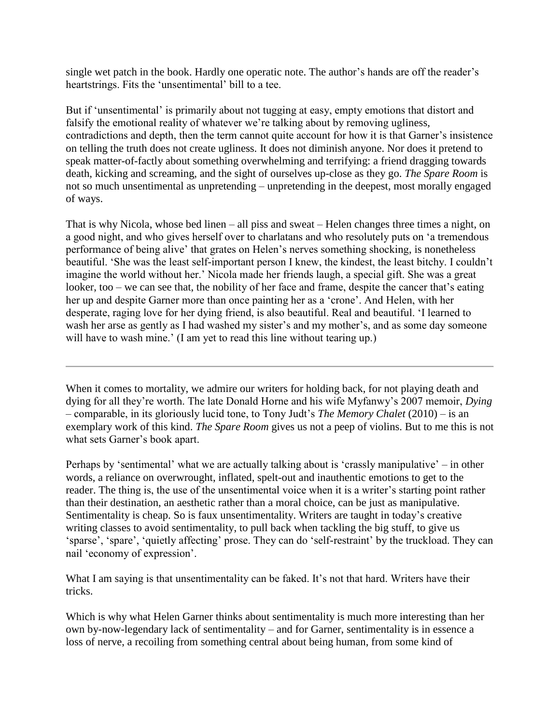single wet patch in the book. Hardly one operatic note. The author's hands are off the reader's heartstrings. Fits the 'unsentimental' bill to a tee.

But if 'unsentimental' is primarily about not tugging at easy, empty emotions that distort and falsify the emotional reality of whatever we're talking about by removing ugliness, contradictions and depth, then the term cannot quite account for how it is that Garner's insistence on telling the truth does not create ugliness. It does not diminish anyone. Nor does it pretend to speak matter-of-factly about something overwhelming and terrifying: a friend dragging towards death, kicking and screaming, and the sight of ourselves up-close as they go. *The Spare Room* is not so much unsentimental as unpretending – unpretending in the deepest, most morally engaged of ways.

That is why Nicola, whose bed linen – all piss and sweat – Helen changes three times a night, on a good night, and who gives herself over to charlatans and who resolutely puts on 'a tremendous performance of being alive' that grates on Helen's nerves something shocking, is nonetheless beautiful. 'She was the least self-important person I knew, the kindest, the least bitchy. I couldn't imagine the world without her.' Nicola made her friends laugh, a special gift. She was a great looker, too – we can see that, the nobility of her face and frame, despite the cancer that's eating her up and despite Garner more than once painting her as a 'crone'. And Helen, with her desperate, raging love for her dying friend, is also beautiful. Real and beautiful. 'I learned to wash her arse as gently as I had washed my sister's and my mother's, and as some day someone will have to wash mine.' (I am yet to read this line without tearing up.)

When it comes to mortality, we admire our writers for holding back, for not playing death and dying for all they're worth. The late Donald Horne and his wife Myfanwy's 2007 memoir, *Dying* – comparable, in its gloriously lucid tone, to Tony Judt's *The Memory Chalet* (2010) – is an exemplary work of this kind. *The Spare Room* gives us not a peep of violins. But to me this is not what sets Garner's book apart.

Perhaps by 'sentimental' what we are actually talking about is 'crassly manipulative' – in other words, a reliance on overwrought, inflated, spelt-out and inauthentic emotions to get to the reader. The thing is, the use of the unsentimental voice when it is a writer's starting point rather than their destination, an aesthetic rather than a moral choice, can be just as manipulative. Sentimentality is cheap. So is faux unsentimentality. Writers are taught in today's creative writing classes to avoid sentimentality, to pull back when tackling the big stuff, to give us 'sparse', 'spare', 'quietly affecting' prose. They can do 'self-restraint' by the truckload. They can nail 'economy of expression'.

What I am saying is that unsentimentality can be faked. It's not that hard. Writers have their tricks.

Which is why what Helen Garner thinks about sentimentality is much more interesting than her own by-now-legendary lack of sentimentality – and for Garner, sentimentality is in essence a loss of nerve, a recoiling from something central about being human, from some kind of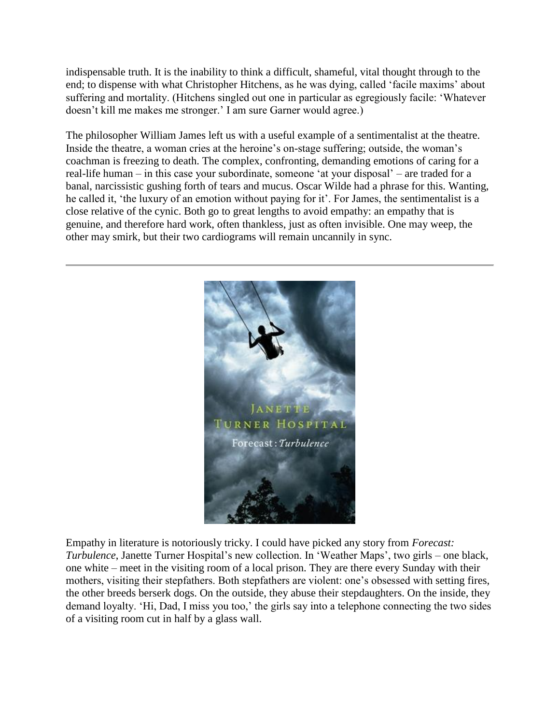indispensable truth. It is the inability to think a difficult, shameful, vital thought through to the end; to dispense with what Christopher Hitchens, as he was dying, called 'facile maxims' about suffering and mortality. (Hitchens singled out one in particular as egregiously facile: 'Whatever doesn't kill me makes me stronger.' I am sure Garner would agree.)

The philosopher William James left us with a useful example of a sentimentalist at the theatre. Inside the theatre, a woman cries at the heroine's on-stage suffering; outside, the woman's coachman is freezing to death. The complex, confronting, demanding emotions of caring for a real-life human – in this case your subordinate, someone 'at your disposal' – are traded for a banal, narcissistic gushing forth of tears and mucus. Oscar Wilde had a phrase for this. Wanting, he called it, 'the luxury of an emotion without paying for it'. For James, the sentimentalist is a close relative of the cynic. Both go to great lengths to avoid empathy: an empathy that is genuine, and therefore hard work, often thankless, just as often invisible. One may weep, the other may smirk, but their two cardiograms will remain uncannily in sync.



Empathy in literature is notoriously tricky. I could have picked any story from *Forecast: Turbulence*, Janette Turner Hospital's new collection. In 'Weather Maps', two girls – one black, one white – meet in the visiting room of a local prison. They are there every Sunday with their mothers, visiting their stepfathers. Both stepfathers are violent: one's obsessed with setting fires, the other breeds berserk dogs. On the outside, they abuse their stepdaughters. On the inside, they demand loyalty. 'Hi, Dad, I miss you too,' the girls say into a telephone connecting the two sides of a visiting room cut in half by a glass wall.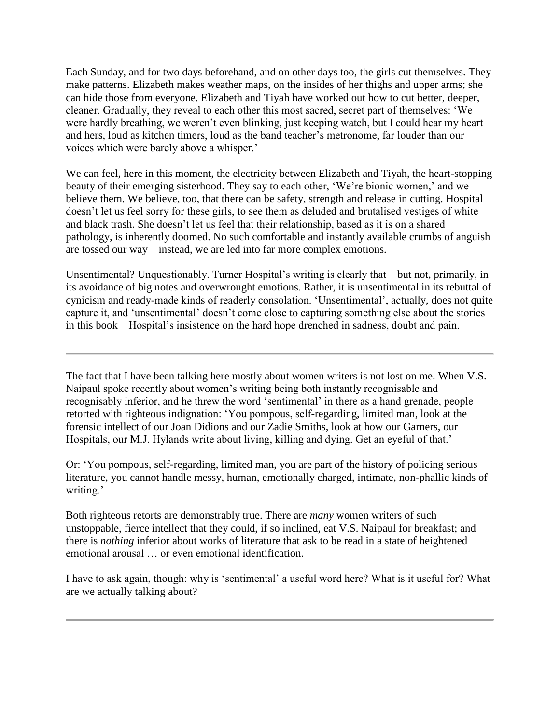Each Sunday, and for two days beforehand, and on other days too, the girls cut themselves. They make patterns. Elizabeth makes weather maps, on the insides of her thighs and upper arms; she can hide those from everyone. Elizabeth and Tiyah have worked out how to cut better, deeper, cleaner. Gradually, they reveal to each other this most sacred, secret part of themselves: 'We were hardly breathing, we weren't even blinking, just keeping watch, but I could hear my heart and hers, loud as kitchen timers, loud as the band teacher's metronome, far louder than our voices which were barely above a whisper.'

We can feel, here in this moment, the electricity between Elizabeth and Tiyah, the heart-stopping beauty of their emerging sisterhood. They say to each other, 'We're bionic women,' and we believe them. We believe, too, that there can be safety, strength and release in cutting. Hospital doesn't let us feel sorry for these girls, to see them as deluded and brutalised vestiges of white and black trash. She doesn't let us feel that their relationship, based as it is on a shared pathology, is inherently doomed. No such comfortable and instantly available crumbs of anguish are tossed our way – instead, we are led into far more complex emotions.

Unsentimental? Unquestionably. Turner Hospital's writing is clearly that – but not, primarily, in its avoidance of big notes and overwrought emotions. Rather, it is unsentimental in its rebuttal of cynicism and ready-made kinds of readerly consolation. 'Unsentimental', actually, does not quite capture it, and 'unsentimental' doesn't come close to capturing something else about the stories in this book – Hospital's insistence on the hard hope drenched in sadness, doubt and pain.

The fact that I have been talking here mostly about women writers is not lost on me. When V.S. Naipaul spoke recently about women's writing being both instantly recognisable and recognisably inferior, and he threw the word 'sentimental' in there as a hand grenade, people retorted with righteous indignation: 'You pompous, self-regarding, limited man, look at the forensic intellect of our Joan Didions and our Zadie Smiths, look at how our Garners, our Hospitals, our M.J. Hylands write about living, killing and dying. Get an eyeful of that.'

Or: 'You pompous, self-regarding, limited man, you are part of the history of policing serious literature, you cannot handle messy, human, emotionally charged, intimate, non-phallic kinds of writing.'

Both righteous retorts are demonstrably true. There are *many* women writers of such unstoppable, fierce intellect that they could, if so inclined, eat V.S. Naipaul for breakfast; and there is *nothing* inferior about works of literature that ask to be read in a state of heightened emotional arousal … or even emotional identification.

I have to ask again, though: why is 'sentimental' a useful word here? What is it useful for? What are we actually talking about?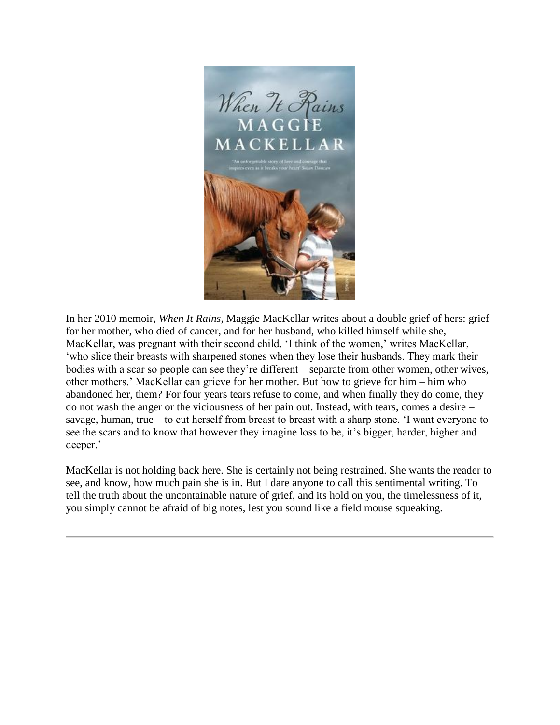

In her 2010 memoir, *When It Rains*, Maggie MacKellar writes about a double grief of hers: grief for her mother, who died of cancer, and for her husband, who killed himself while she, MacKellar, was pregnant with their second child. 'I think of the women,' writes MacKellar, 'who slice their breasts with sharpened stones when they lose their husbands. They mark their bodies with a scar so people can see they're different – separate from other women, other wives, other mothers.' MacKellar can grieve for her mother. But how to grieve for him – him who abandoned her, them? For four years tears refuse to come, and when finally they do come, they do not wash the anger or the viciousness of her pain out. Instead, with tears, comes a desire – savage, human, true – to cut herself from breast to breast with a sharp stone. 'I want everyone to see the scars and to know that however they imagine loss to be, it's bigger, harder, higher and deeper.'

MacKellar is not holding back here. She is certainly not being restrained. She wants the reader to see, and know, how much pain she is in. But I dare anyone to call this sentimental writing. To tell the truth about the uncontainable nature of grief, and its hold on you, the timelessness of it, you simply cannot be afraid of big notes, lest you sound like a field mouse squeaking.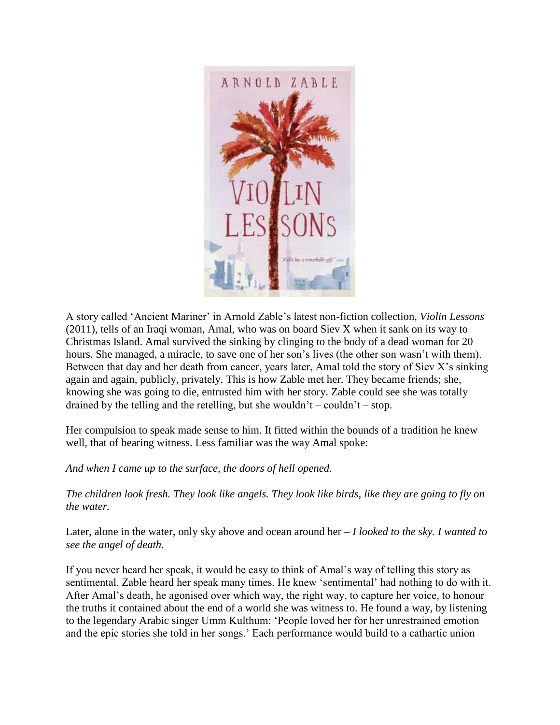

A story called 'Ancient Mariner' in Arnold Zable's latest non-fiction collection, *Violin Lessons* (2011), tells of an Iraqi woman, Amal, who was on board Siev X when it sank on its way to Christmas Island. Amal survived the sinking by clinging to the body of a dead woman for 20 hours. She managed, a miracle, to save one of her son's lives (the other son wasn't with them). Between that day and her death from cancer, years later, Amal told the story of Siev X's sinking again and again, publicly, privately. This is how Zable met her. They became friends; she, knowing she was going to die, entrusted him with her story. Zable could see she was totally drained by the telling and the retelling, but she wouldn't – couldn't – stop.

Her compulsion to speak made sense to him. It fitted within the bounds of a tradition he knew well, that of bearing witness. Less familiar was the way Amal spoke:

## *And when I came up to the surface, the doors of hell opened.*

*The children look fresh. They look like angels. They look like birds, like they are going to fly on the water.*

Later, alone in the water, only sky above and ocean around her – *I looked to the sky. I wanted to see the angel of death.*

If you never heard her speak, it would be easy to think of Amal's way of telling this story as sentimental. Zable heard her speak many times. He knew 'sentimental' had nothing to do with it. After Amal's death, he agonised over which way, the right way, to capture her voice, to honour the truths it contained about the end of a world she was witness to. He found a way, by listening to the legendary Arabic singer Umm Kulthum: 'People loved her for her unrestrained emotion and the epic stories she told in her songs.' Each performance would build to a cathartic union